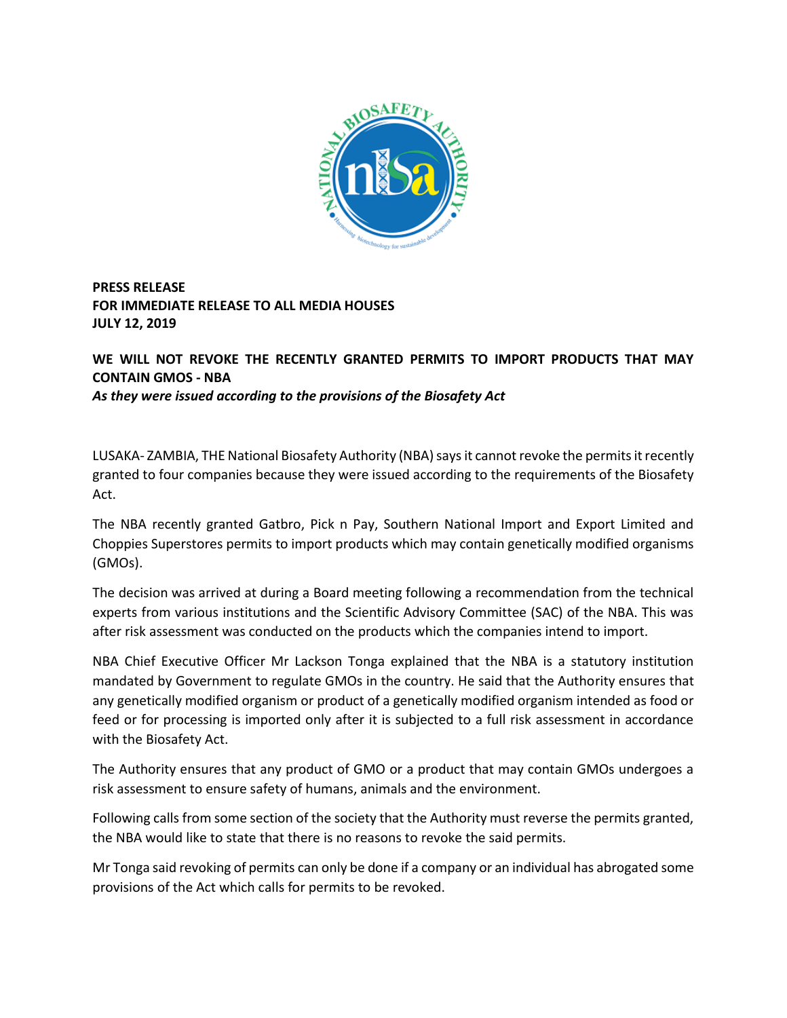

**PRESS RELEASE FOR IMMEDIATE RELEASE TO ALL MEDIA HOUSES JULY 12, 2019**

**WE WILL NOT REVOKE THE RECENTLY GRANTED PERMITS TO IMPORT PRODUCTS THAT MAY CONTAIN GMOS - NBA**  *As they were issued according to the provisions of the Biosafety Act*

LUSAKA- ZAMBIA, THE National Biosafety Authority (NBA) says it cannot revoke the permits it recently granted to four companies because they were issued according to the requirements of the Biosafety Act.

The NBA recently granted Gatbro, Pick n Pay, Southern National Import and Export Limited and Choppies Superstores permits to import products which may contain genetically modified organisms (GMOs).

The decision was arrived at during a Board meeting following a recommendation from the technical experts from various institutions and the Scientific Advisory Committee (SAC) of the NBA. This was after risk assessment was conducted on the products which the companies intend to import.

NBA Chief Executive Officer Mr Lackson Tonga explained that the NBA is a statutory institution mandated by Government to regulate GMOs in the country. He said that the Authority ensures that any genetically modified organism or product of a genetically modified organism intended as food or feed or for processing is imported only after it is subjected to a full risk assessment in accordance with the Biosafety Act.

The Authority ensures that any product of GMO or a product that may contain GMOs undergoes a risk assessment to ensure safety of humans, animals and the environment.

Following calls from some section of the society that the Authority must reverse the permits granted, the NBA would like to state that there is no reasons to revoke the said permits.

Mr Tonga said revoking of permits can only be done if a company or an individual has abrogated some provisions of the Act which calls for permits to be revoked.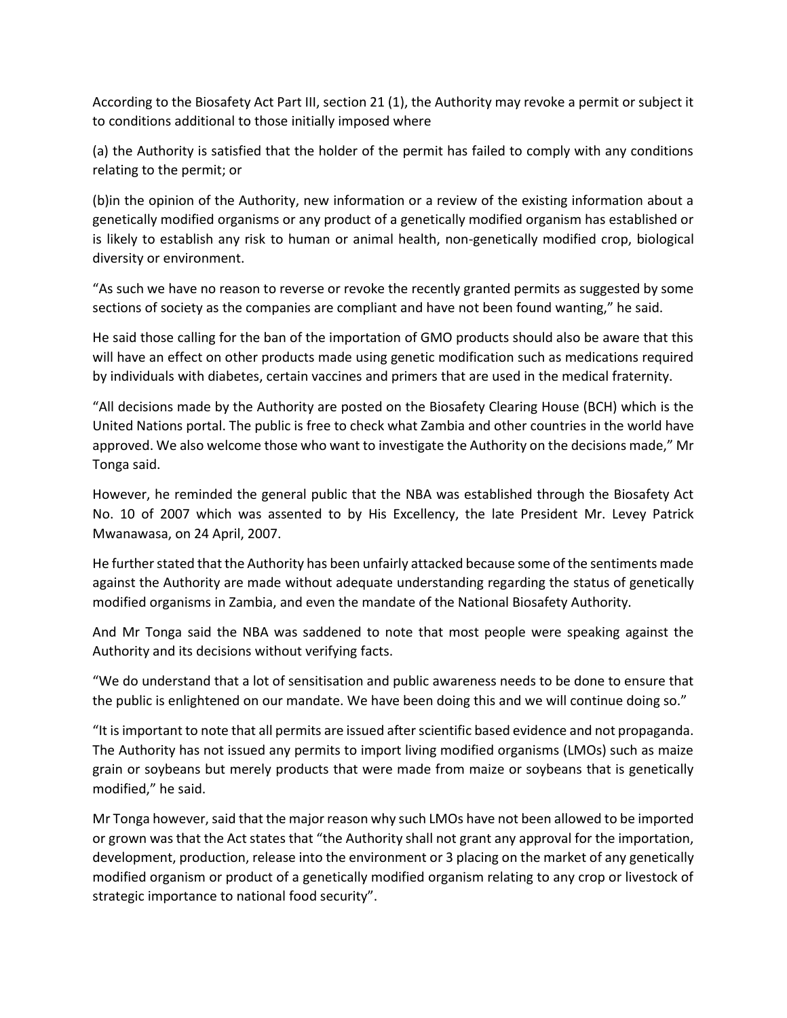According to the Biosafety Act Part III, section 21 (1), the Authority may revoke a permit or subject it to conditions additional to those initially imposed where

(a) the Authority is satisfied that the holder of the permit has failed to comply with any conditions relating to the permit; or

(b)in the opinion of the Authority, new information or a review of the existing information about a genetically modified organisms or any product of a genetically modified organism has established or is likely to establish any risk to human or animal health, non-genetically modified crop, biological diversity or environment.

"As such we have no reason to reverse or revoke the recently granted permits as suggested by some sections of society as the companies are compliant and have not been found wanting," he said.

He said those calling for the ban of the importation of GMO products should also be aware that this will have an effect on other products made using genetic modification such as medications required by individuals with diabetes, certain vaccines and primers that are used in the medical fraternity.

"All decisions made by the Authority are posted on the Biosafety Clearing House (BCH) which is the United Nations portal. The public is free to check what Zambia and other countries in the world have approved. We also welcome those who want to investigate the Authority on the decisions made," Mr Tonga said.

However, he reminded the general public that the NBA was established through the Biosafety Act No. 10 of 2007 which was assented to by His Excellency, the late President Mr. Levey Patrick Mwanawasa, on 24 April, 2007.

He further stated that the Authority has been unfairly attacked because some of the sentiments made against the Authority are made without adequate understanding regarding the status of genetically modified organisms in Zambia, and even the mandate of the National Biosafety Authority.

And Mr Tonga said the NBA was saddened to note that most people were speaking against the Authority and its decisions without verifying facts.

"We do understand that a lot of sensitisation and public awareness needs to be done to ensure that the public is enlightened on our mandate. We have been doing this and we will continue doing so."

"It is important to note that all permits are issued after scientific based evidence and not propaganda. The Authority has not issued any permits to import living modified organisms (LMOs) such as maize grain or soybeans but merely products that were made from maize or soybeans that is genetically modified," he said.

Mr Tonga however, said that the major reason why such LMOs have not been allowed to be imported or grown was that the Act states that "the Authority shall not grant any approval for the importation, development, production, release into the environment or 3 placing on the market of any genetically modified organism or product of a genetically modified organism relating to any crop or livestock of strategic importance to national food security".